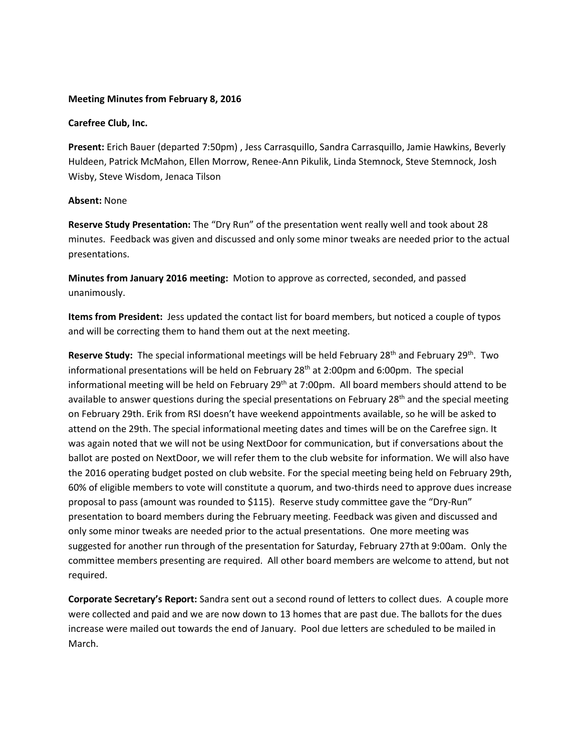### **Meeting Minutes from February 8, 2016**

#### **Carefree Club, Inc.**

**Present:** Erich Bauer (departed 7:50pm) , Jess Carrasquillo, Sandra Carrasquillo, Jamie Hawkins, Beverly Huldeen, Patrick McMahon, Ellen Morrow, Renee-Ann Pikulik, Linda Stemnock, Steve Stemnock, Josh Wisby, Steve Wisdom, Jenaca Tilson

### **Absent:** None

**Reserve Study Presentation:** The "Dry Run" of the presentation went really well and took about 28 minutes. Feedback was given and discussed and only some minor tweaks are needed prior to the actual presentations.

**Minutes from January 2016 meeting:** Motion to approve as corrected, seconded, and passed unanimously.

**Items from President:** Jess updated the contact list for board members, but noticed a couple of typos and will be correcting them to hand them out at the next meeting.

Reserve Study: The special informational meetings will be held February 28<sup>th</sup> and February 29<sup>th</sup>. Two informational presentations will be held on February  $28<sup>th</sup>$  at 2:00pm and 6:00pm. The special informational meeting will be held on February  $29<sup>th</sup>$  at 7:00pm. All board members should attend to be available to answer questions during the special presentations on February 28<sup>th</sup> and the special meeting on February 29th. Erik from RSI doesn't have weekend appointments available, so he will be asked to attend on the 29th. The special informational meeting dates and times will be on the Carefree sign. It was again noted that we will not be using NextDoor for communication, but if conversations about the ballot are posted on NextDoor, we will refer them to the club website for information. We will also have the 2016 operating budget posted on club website. For the special meeting being held on February 29th, 60% of eligible members to vote will constitute a quorum, and two-thirds need to approve dues increase proposal to pass (amount was rounded to \$115). Reserve study committee gave the "Dry-Run" presentation to board members during the February meeting. Feedback was given and discussed and only some minor tweaks are needed prior to the actual presentations. One more meeting was suggested for another run through of the presentation for Saturday, February 27th at 9:00am. Only the committee members presenting are required. All other board members are welcome to attend, but not required.

**Corporate Secretary's Report:** Sandra sent out a second round of letters to collect dues. A couple more were collected and paid and we are now down to 13 homes that are past due. The ballots for the dues increase were mailed out towards the end of January. Pool due letters are scheduled to be mailed in March.